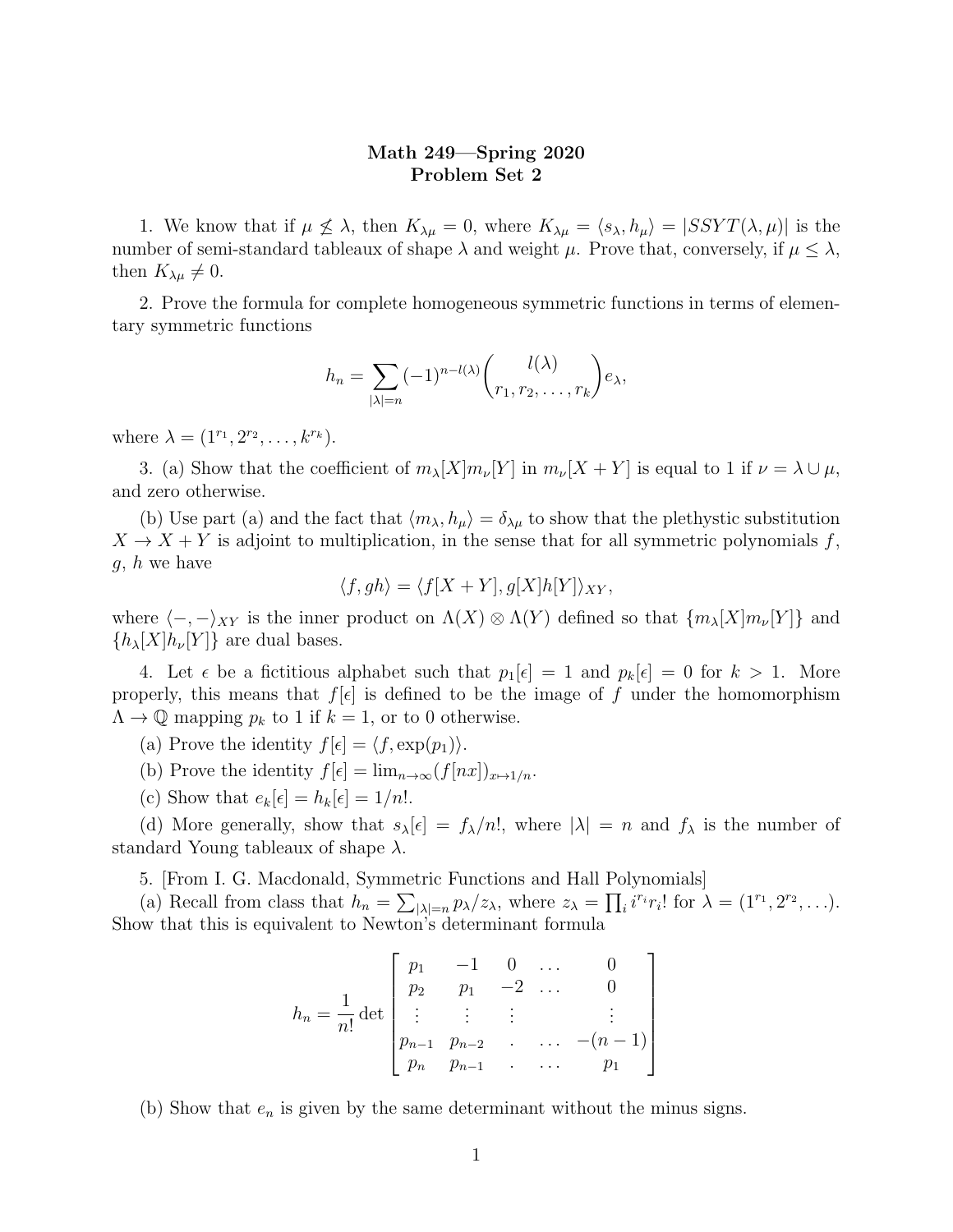## Math 249—Spring 2020 Problem Set 2

1. We know that if  $\mu \nleq \lambda$ , then  $K_{\lambda\mu} = 0$ , where  $K_{\lambda\mu} = \langle s_{\lambda}, h_{\mu} \rangle = |SSYT(\lambda, \mu)|$  is the number of semi-standard tableaux of shape  $\lambda$  and weight  $\mu$ . Prove that, conversely, if  $\mu \leq \lambda$ , then  $K_{\lambda\mu} \neq 0$ .

2. Prove the formula for complete homogeneous symmetric functions in terms of elementary symmetric functions

$$
h_n = \sum_{|\lambda|=n} (-1)^{n-l(\lambda)} \binom{l(\lambda)}{r_1, r_2, \dots, r_k} e_{\lambda},
$$

where  $\lambda = (1^{r_1}, 2^{r_2}, \ldots, k^{r_k}).$ 

3. (a) Show that the coefficient of  $m_{\lambda}[X]m_{\nu}[Y]$  in  $m_{\nu}[X+Y]$  is equal to 1 if  $\nu = \lambda \cup \mu$ , and zero otherwise.

(b) Use part (a) and the fact that  $\langle m_{\lambda}, h_{\mu} \rangle = \delta_{\lambda \mu}$  to show that the plethystic substitution  $X \to X + Y$  is adjoint to multiplication, in the sense that for all symmetric polynomials f,  $g, h$  we have

$$
\langle f, gh \rangle = \langle f[X+Y], g[X]h[Y] \rangle_{XY},
$$

where  $\langle -, -\rangle_{XY}$  is the inner product on  $\Lambda(X) \otimes \Lambda(Y)$  defined so that  $\{m_\lambda[X]m_\nu[Y]\}$  and  ${h_{\lambda}[X]h_{\nu}[Y]}$  are dual bases.

4. Let  $\epsilon$  be a fictitious alphabet such that  $p_1[\epsilon] = 1$  and  $p_k[\epsilon] = 0$  for  $k > 1$ . More properly, this means that  $f[\epsilon]$  is defined to be the image of f under the homomorphism  $\Lambda \to \mathbb{Q}$  mapping  $p_k$  to 1 if  $k = 1$ , or to 0 otherwise.

(a) Prove the identity  $f[\epsilon] = \langle f, \exp(p_1) \rangle$ .

- (b) Prove the identity  $f[\epsilon] = \lim_{n\to\infty} (f[nx])_{x\mapsto 1/n}$ .
- (c) Show that  $e_k[\epsilon] = h_k[\epsilon] = 1/n!$ .

(d) More generally, show that  $s_\lambda[\epsilon] = f_\lambda/n!$ , where  $|\lambda| = n$  and  $f_\lambda$  is the number of standard Young tableaux of shape  $\lambda$ .

5. [From I. G. Macdonald, Symmetric Functions and Hall Polynomials]

(a) Recall from class that  $h_n = \sum_{|\lambda|=n} p_\lambda/z_\lambda$ , where  $z_\lambda = \prod_i i^{r_i} r_i!$  for  $\lambda = (1^{r_1}, 2^{r_2}, \ldots)$ . Show that this is equivalent to Newton's determinant formula

$$
h_n = \frac{1}{n!} \det \begin{bmatrix} p_1 & -1 & 0 & \dots & 0 \\ p_2 & p_1 & -2 & \dots & 0 \\ \vdots & \vdots & \vdots & & \vdots \\ p_{n-1} & p_{n-2} & \dots & -(n-1) \\ p_n & p_{n-1} & \dots & p_1 \end{bmatrix}
$$

(b) Show that  $e_n$  is given by the same determinant without the minus signs.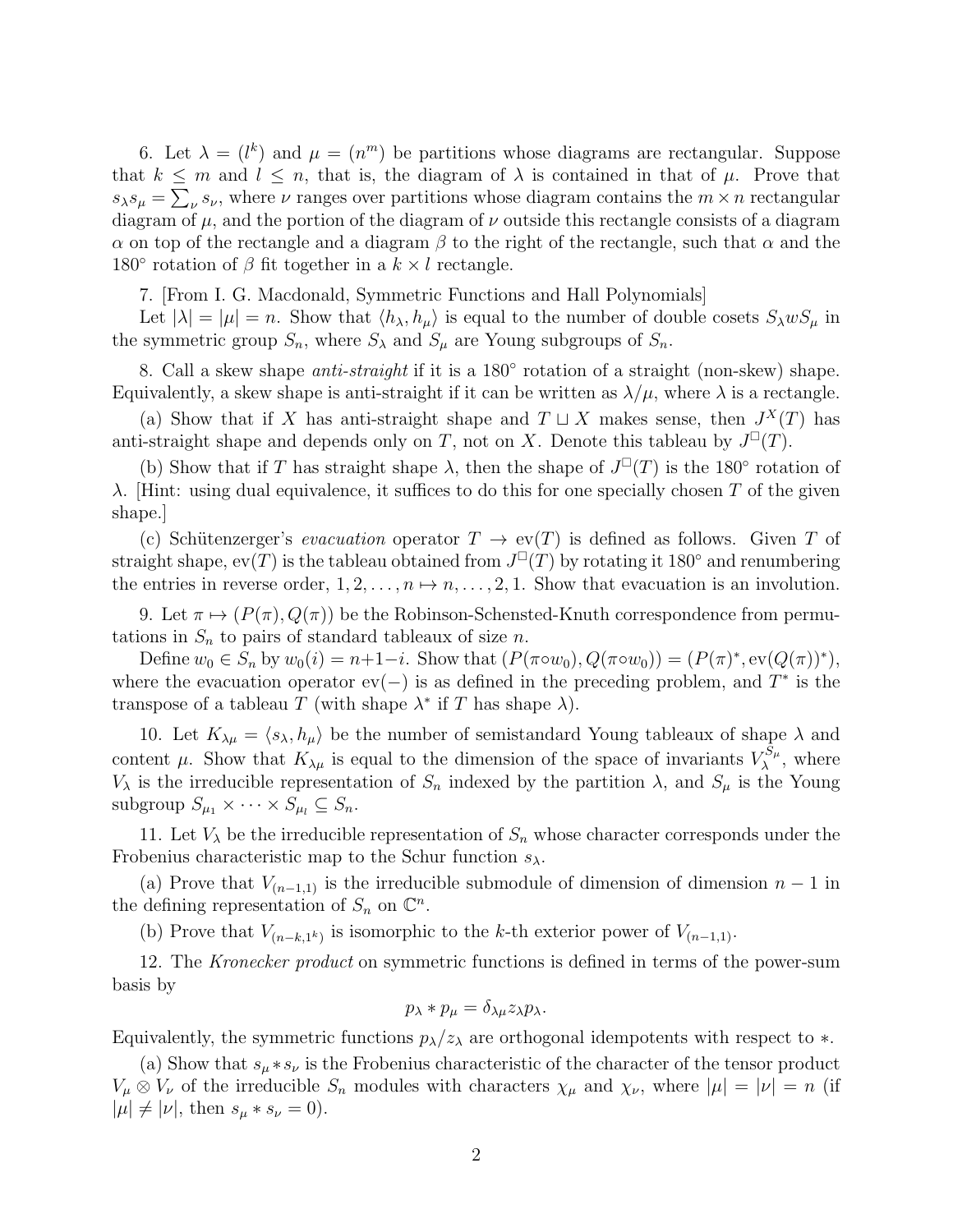6. Let  $\lambda = (l^k)$  and  $\mu = (n^m)$  be partitions whose diagrams are rectangular. Suppose that  $k \leq m$  and  $l \leq n$ , that is, the diagram of  $\lambda$  is contained in that of  $\mu$ . Prove that  $s_{\lambda}s_{\mu} = \sum_{\nu} s_{\nu}$ , where  $\nu$  ranges over partitions whose diagram contains the  $m \times n$  rectangular diagram of  $\mu$ , and the portion of the diagram of  $\nu$  outside this rectangle consists of a diagram α on top of the rectangle and a diagram β to the right of the rectangle, such that  $\alpha$  and the 180 $\degree$  rotation of  $\beta$  fit together in a  $k \times l$  rectangle.

7. [From I. G. Macdonald, Symmetric Functions and Hall Polynomials]

Let  $|\lambda| = |\mu| = n$ . Show that  $\langle h_\lambda, h_\mu \rangle$  is equal to the number of double cosets  $S_\lambda w S_\mu$  in the symmetric group  $S_n$ , where  $S_\lambda$  and  $S_\mu$  are Young subgroups of  $S_n$ .

8. Call a skew shape *anti-straight* if it is a 180 $^{\circ}$  rotation of a straight (non-skew) shape. Equivalently, a skew shape is anti-straight if it can be written as  $\lambda/\mu$ , where  $\lambda$  is a rectangle.

(a) Show that if X has anti-straight shape and  $T \sqcup X$  makes sense, then  $J^X(T)$  has anti-straight shape and depends only on T, not on X. Denote this tableau by  $J^{\square}(T)$ .

(b) Show that if T has straight shape  $\lambda$ , then the shape of  $J^{\square}(T)$  is the 180° rotation of λ. Hint: using dual equivalence, it suffices to do this for one specially chosen T of the given shape.]

(c) Schütenzerger's *evacuation* operator  $T \to \text{ev}(T)$  is defined as follows. Given T of straight shape,  $ev(T)$  is the tableau obtained from  $J^{\square}(T)$  by rotating it 180 $^{\circ}$  and renumbering the entries in reverse order,  $1, 2, \ldots, n \mapsto n, \ldots, 2, 1$ . Show that evacuation is an involution.

9. Let  $\pi \mapsto (P(\pi), Q(\pi))$  be the Robinson-Schensted-Knuth correspondence from permutations in  $S_n$  to pairs of standard tableaux of size n.

Define  $w_0 \in S_n$  by  $w_0(i) = n+1-i$ . Show that  $(P(\pi \circ w_0), Q(\pi \circ w_0)) = (P(\pi)^*, \text{ev}(Q(\pi))^*),$ where the evacuation operator  $ev(-)$  is as defined in the preceding problem, and  $T^*$  is the transpose of a tableau T (with shape  $\lambda^*$  if T has shape  $\lambda$ ).

10. Let  $K_{\lambda\mu} = \langle s_{\lambda}, h_{\mu} \rangle$  be the number of semistandard Young tableaux of shape  $\lambda$  and content  $\mu$ . Show that  $K_{\lambda\mu}$  is equal to the dimension of the space of invariants  $V_{\lambda}^{S_{\mu}}$  $\chi^{\mathcal{S}_{\mu}}$ , where  $V_{\lambda}$  is the irreducible representation of  $S_n$  indexed by the partition  $\lambda$ , and  $S_{\mu}$  is the Young subgroup  $S_{\mu_1} \times \cdots \times S_{\mu_l} \subseteq S_n$ .

11. Let  $V_{\lambda}$  be the irreducible representation of  $S_n$  whose character corresponds under the Frobenius characteristic map to the Schur function  $s_{\lambda}$ .

(a) Prove that  $V_{(n-1,1)}$  is the irreducible submodule of dimension of dimension  $n-1$  in the defining representation of  $S_n$  on  $\mathbb{C}^n$ .

(b) Prove that  $V_{(n-k,1^k)}$  is isomorphic to the k-th exterior power of  $V_{(n-1,1)}$ .

12. The Kronecker product on symmetric functions is defined in terms of the power-sum basis by

$$
p_{\lambda} * p_{\mu} = \delta_{\lambda \mu} z_{\lambda} p_{\lambda}.
$$

Equivalently, the symmetric functions  $p_{\lambda}/z_{\lambda}$  are orthogonal idempotents with respect to  $*$ .

(a) Show that  $s_{\mu} * s_{\nu}$  is the Frobenius characteristic of the character of the tensor product  $V_\mu \otimes V_\nu$  of the irreducible  $S_n$  modules with characters  $\chi_\mu$  and  $\chi_\nu$ , where  $|\mu| = |\nu| = n$  (if  $|\mu| \neq |\nu|$ , then  $s_{\mu} * s_{\nu} = 0$ ).